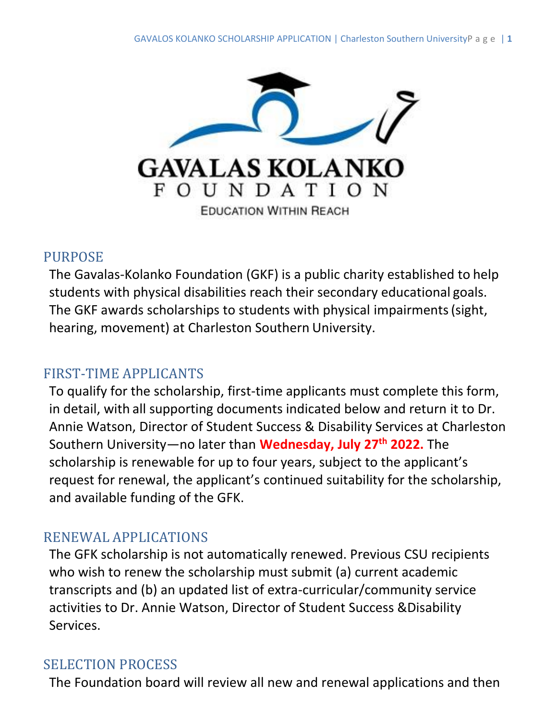

#### PURPOSE

The Gavalas-Kolanko Foundation (GKF) is a public charity established to help students with physical disabilities reach their secondary educational goals. The GKF awards scholarships to students with physical impairments(sight, hearing, movement) at Charleston Southern University.

#### FIRST-TIME APPLICANTS

To qualify for the scholarship, first-time applicants must complete this form, in detail, with all supporting documents indicated below and return it to Dr. Annie Watson, Director of Student Success & Disability Services at Charleston Southern University—no later than **Wednesday, July 27th 2022.** The scholarship is renewable for up to four years, subject to the applicant's request for renewal, the applicant's continued suitability for the scholarship, and available funding of the GFK.

### RENEWAL APPLICATIONS

The GFK scholarship is not automatically renewed. Previous CSU recipients who wish to renew the scholarship must submit (a) current academic transcripts and (b) an updated list of extra-curricular/community service activities to Dr. Annie Watson, Director of Student Success &Disability Services.

### SELECTION PROCESS

The Foundation board will review all new and renewal applications and then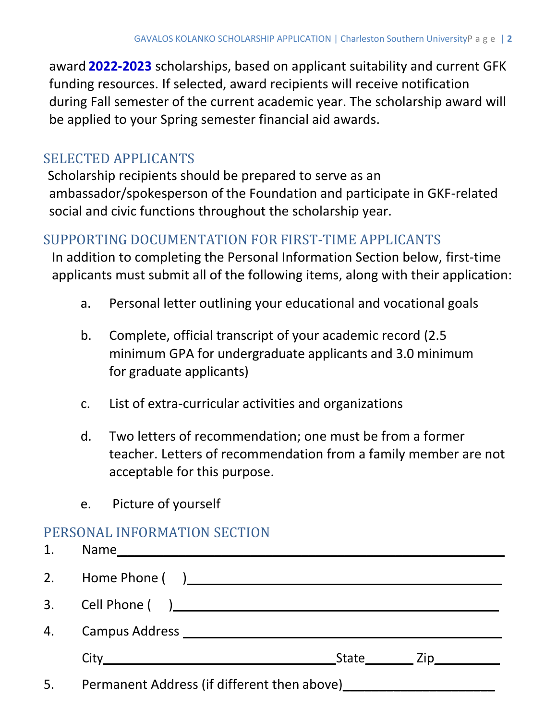award **2022-2023** scholarships, based on applicant suitability and current GFK funding resources. If selected, award recipients will receive notification during Fall semester of the current academic year. The scholarship award will be applied to your Spring semester financial aid awards.

## SELECTED APPLICANTS

Scholarship recipients should be prepared to serve as an ambassador/spokesperson of the Foundation and participate in GKF-related social and civic functions throughout the scholarship year.

#### SUPPORTING DOCUMENTATION FOR FIRST-TIME APPLICANTS

In addition to completing the Personal Information Section below, first-time applicants must submit all of the following items, along with their application:

- a. Personal letter outlining your educational and vocational goals
- b. Complete, official transcript of your academic record (2.5 minimum GPA for undergraduate applicants and 3.0 minimum for graduate applicants)
- c. List of extra-curricular activities and organizations
- d. Two letters of recommendation; one must be from a former teacher. Letters of recommendation from a family member are not acceptable for this purpose.
- e. Picture of yourself

# PERSONAL INFORMATION SECTION

| 1. |  |  |                                   |  |
|----|--|--|-----------------------------------|--|
|    |  |  |                                   |  |
|    |  |  |                                   |  |
|    |  |  |                                   |  |
|    |  |  | State___________ Zip_____________ |  |
| 5. |  |  |                                   |  |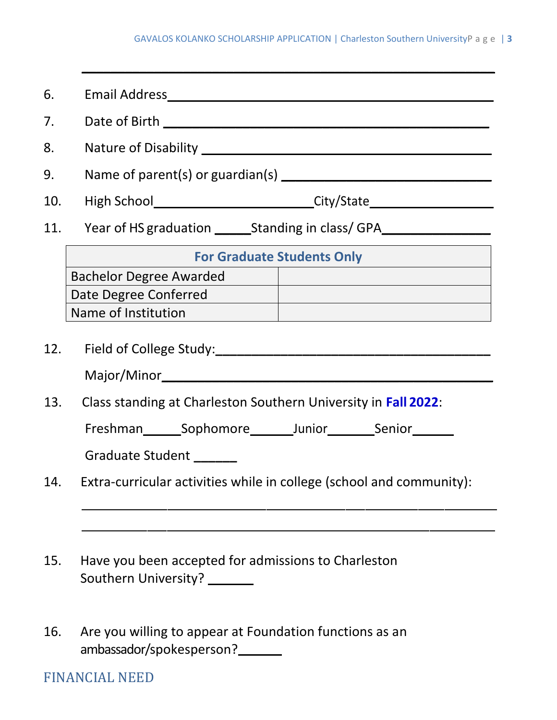**\_\_\_\_\_\_\_\_\_\_\_\_\_\_\_\_\_\_\_\_\_\_\_\_\_\_\_\_\_\_\_\_\_\_\_\_\_\_\_\_\_\_\_\_\_\_\_\_\_\_\_\_\_\_\_\_\_**

| 6.                                                                    |                                                                                     |  |  |  |  |  |
|-----------------------------------------------------------------------|-------------------------------------------------------------------------------------|--|--|--|--|--|
| 7.                                                                    |                                                                                     |  |  |  |  |  |
| 8.                                                                    |                                                                                     |  |  |  |  |  |
| 9.                                                                    |                                                                                     |  |  |  |  |  |
| 10.                                                                   |                                                                                     |  |  |  |  |  |
| 11.                                                                   |                                                                                     |  |  |  |  |  |
|                                                                       | <b>For Graduate Students Only</b>                                                   |  |  |  |  |  |
|                                                                       | <b>Bachelor Degree Awarded</b>                                                      |  |  |  |  |  |
|                                                                       | Date Degree Conferred                                                               |  |  |  |  |  |
|                                                                       |                                                                                     |  |  |  |  |  |
|                                                                       |                                                                                     |  |  |  |  |  |
| 13.<br>Class standing at Charleston Southern University in Fall 2022: |                                                                                     |  |  |  |  |  |
|                                                                       | Freshman_________Sophomore__________Junior______________Senior_________             |  |  |  |  |  |
|                                                                       | Graduate Student ______                                                             |  |  |  |  |  |
| 14.                                                                   | Extra-curricular activities while in college (school and community):                |  |  |  |  |  |
|                                                                       |                                                                                     |  |  |  |  |  |
| 15.                                                                   | Have you been accepted for admissions to Charleston<br>Southern University? _______ |  |  |  |  |  |

16. Are you willing to appear at Foundation functions as an ambassador/spokesperson?

## FINANCIAL NEED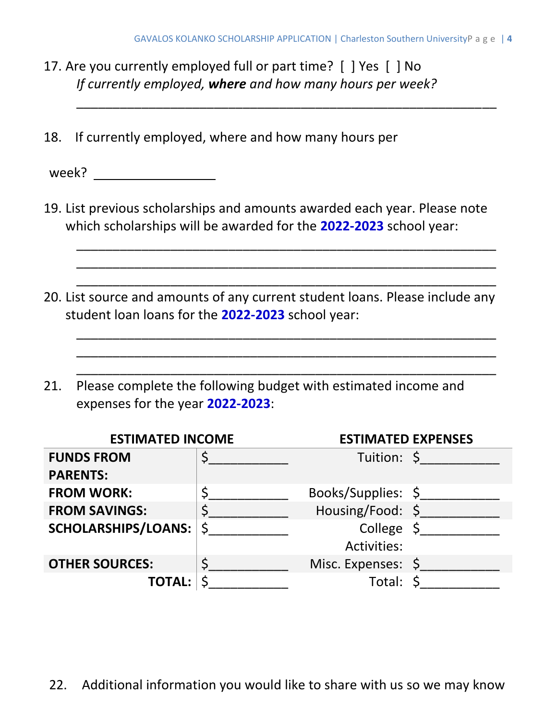- 17. Are you currently employed full or part time? [ ] Yes [ ] No *If currently employed, where and how many hours per week?*
- 18. If currently employed, where and how many hours per

week?

19. List previous scholarships and amounts awarded each year. Please note which scholarships will be awarded for the **2022-2023** school year:

\_\_\_\_\_\_\_\_\_\_\_\_\_\_\_\_\_\_\_\_\_\_\_\_\_\_\_\_\_\_\_\_\_\_\_\_\_\_\_\_\_\_\_\_\_\_\_\_\_\_\_\_\_\_\_\_\_\_ \_\_\_\_\_\_\_\_\_\_\_\_\_\_\_\_\_\_\_\_\_\_\_\_\_\_\_\_\_\_\_\_\_\_\_\_\_\_\_\_\_\_\_\_\_\_\_\_\_\_\_\_\_\_\_\_\_\_ \_\_\_\_\_\_\_\_\_\_\_\_\_\_\_\_\_\_\_\_\_\_\_\_\_\_\_\_\_\_\_\_\_\_\_\_\_\_\_\_\_\_\_\_\_\_\_\_\_\_\_\_\_\_\_\_\_\_

\_\_\_\_\_\_\_\_\_\_\_\_\_\_\_\_\_\_\_\_\_\_\_\_\_\_\_\_\_\_\_\_\_\_\_\_\_\_\_\_\_\_\_\_\_\_\_\_\_\_\_\_\_\_\_\_\_\_ \_\_\_\_\_\_\_\_\_\_\_\_\_\_\_\_\_\_\_\_\_\_\_\_\_\_\_\_\_\_\_\_\_\_\_\_\_\_\_\_\_\_\_\_\_\_\_\_\_\_\_\_\_\_\_\_\_\_ \_\_\_\_\_\_\_\_\_\_\_\_\_\_\_\_\_\_\_\_\_\_\_\_\_\_\_\_\_\_\_\_\_\_\_\_\_\_\_\_\_\_\_\_\_\_\_\_\_\_\_\_\_\_\_\_\_\_

\_\_\_\_\_\_\_\_\_\_\_\_\_\_\_\_\_\_\_\_\_\_\_\_\_\_\_\_\_\_\_\_\_\_\_\_\_\_\_\_\_\_\_\_\_\_\_\_\_\_\_\_\_\_\_\_\_\_

- 20. List source and amounts of any current student loans. Please include any student loan loans for the **2022-2023** school year:
- 21. Please complete the following budget with estimated income and expenses for the year **2022-2023**:

| <b>ESTIMATED INCOME</b>    |   | <b>ESTIMATED EXPENSES</b> |             |
|----------------------------|---|---------------------------|-------------|
| <b>FUNDS FROM</b>          |   |                           | Tuition: \$ |
| <b>PARENTS:</b>            |   |                           |             |
| <b>FROM WORK:</b>          |   | Books/Supplies: \$        |             |
| <b>FROM SAVINGS:</b>       |   | Housing/Food: \$          |             |
| <b>SCHOLARSHIPS/LOANS:</b> | Ś | College $\zeta$           |             |
|                            |   | <b>Activities:</b>        |             |
| <b>OTHER SOURCES:</b>      |   | Misc. Expenses: \$        |             |
| <b>TOTAL:</b>              |   | Total:                    |             |